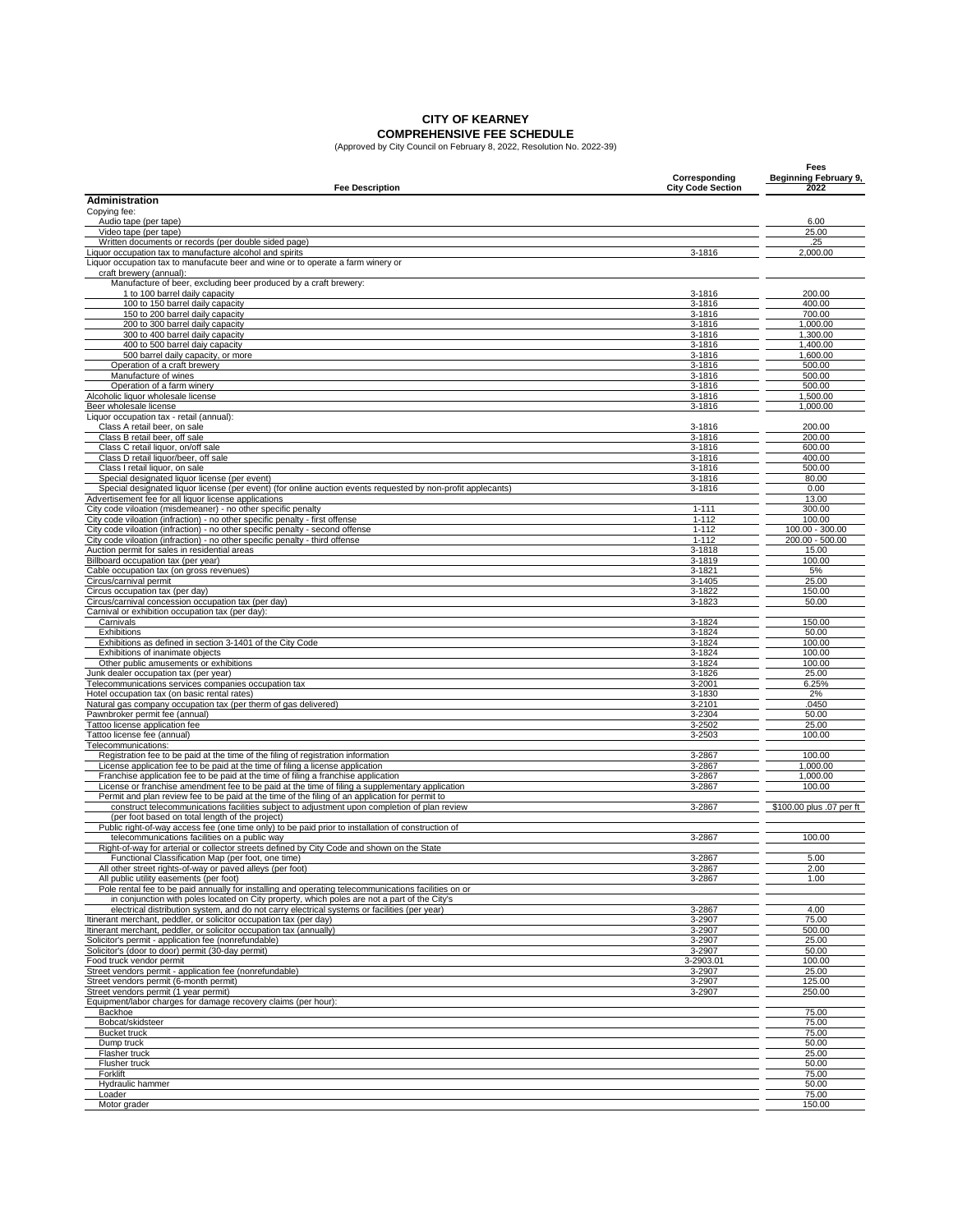# **CITY OF KEARNEY**

**COMPREHENSIVE FEE SCHEDULE** (Approved by City Council on February 8, 2022, Resolution No. 2022-39)

| <b>Fee Description</b>                                                                                                                                                                             | Corresponding<br><b>City Code Section</b> | Fees<br>Beginning February 9,<br>2022 |
|----------------------------------------------------------------------------------------------------------------------------------------------------------------------------------------------------|-------------------------------------------|---------------------------------------|
| <b>Administration</b>                                                                                                                                                                              |                                           |                                       |
| Copying fee:                                                                                                                                                                                       |                                           |                                       |
| Audio tape (per tape)<br>Video tape (per tape)                                                                                                                                                     |                                           | 6.00<br>25.00                         |
| Written documents or records (per double sided page)                                                                                                                                               |                                           | .25                                   |
| Liquor occupation tax to manufacture alcohol and spirits<br>Liquor occupation tax to manufacute beer and wine or to operate a farm winery or                                                       | 3-1816                                    | 2,000.00                              |
| craft brewery (annual):                                                                                                                                                                            |                                           |                                       |
| Manufacture of beer, excluding beer produced by a craft brewery:                                                                                                                                   |                                           |                                       |
| 1 to 100 barrel daily capacity<br>100 to 150 barrel daily capacity                                                                                                                                 | 3-1816<br>3-1816                          | 200.00<br>400.00                      |
| 150 to 200 barrel daily capacity                                                                                                                                                                   | 3-1816                                    | 700.00                                |
| 200 to 300 barrel daily capacity                                                                                                                                                                   | 3-1816<br>3-1816                          | 1,000.00                              |
| 300 to 400 barrel daily capacity<br>400 to 500 barrel daiy capacity                                                                                                                                | 3-1816                                    | 1,300.00<br>1,400.00                  |
| 500 barrel daily capacity, or more                                                                                                                                                                 | 3-1816                                    | 1,600.00                              |
| Operation of a craft brewery<br>Manufacture of wines                                                                                                                                               | 3-1816<br>$3 - 1816$                      | 500.00<br>500.00                      |
| Operation of a farm winery                                                                                                                                                                         | 3-1816                                    | 500.00                                |
| Alcoholic liquor wholesale license                                                                                                                                                                 | 3-1816                                    | 1,500.00                              |
| Beer wholesale license<br>Liquor occupation tax - retail (annual):                                                                                                                                 | 3-1816                                    | 1,000.00                              |
| Class A retail beer, on sale                                                                                                                                                                       | 3-1816                                    | 200.00                                |
| Class B retail beer, off sale                                                                                                                                                                      | 3-1816                                    | 200.00                                |
| Class C retail liquor, on/off sale<br>Class D retail liquor/beer, off sale                                                                                                                         | 3-1816<br>3-1816                          | 600.00<br>400.00                      |
| Class I retail liquor, on sale                                                                                                                                                                     | 3-1816                                    | 500.00                                |
| Special designated liquor license (per event)                                                                                                                                                      | 3-1816                                    | 80.00<br>0.00                         |
| Special designated liquor license (per event) (for online auction events requested by non-profit applecants)<br>Advertisement fee for all liquor license applications                              | 3-1816                                    | 13.00                                 |
| City code viloation (misdemeaner) - no other specific penalty                                                                                                                                      | $1 - 111$                                 | 300.00                                |
| City code viloation (infraction) - no other specific penalty - first offense<br>City code viloation (infraction) - no other specific penalty - second offense                                      | $1 - 112$<br>$1 - 112$                    | 100.00<br>100.00 - 300.00             |
| City code viloation (infraction) - no other specific penalty - third offense                                                                                                                       | $1 - 112$                                 | 200.00 - 500.00                       |
| Auction permit for sales in residential areas                                                                                                                                                      | 3-1818                                    | 15.00                                 |
| Billboard occupation tax (per year)<br>Cable occupation tax (on gross revenues)                                                                                                                    | 3-1819<br>3-1821                          | 100.00<br>5%                          |
| Circus/carnival permit                                                                                                                                                                             | 3-1405                                    | 25.00                                 |
| Circus occupation tax (per day)                                                                                                                                                                    | 3-1822                                    | 150.00                                |
| Circus/carnival concession occupation tax (per day)<br>Carnival or exhibition occupation tax (per day):                                                                                            | 3-1823                                    | 50.00                                 |
| Carnivals                                                                                                                                                                                          | 3-1824                                    | 150.00                                |
| Exhibitions<br>Exhibitions as defined in section 3-1401 of the City Code                                                                                                                           | $3 - 1824$<br>3-1824                      | 50.00<br>100.00                       |
| Exhibitions of inanimate objects                                                                                                                                                                   | 3-1824                                    | 100.00                                |
| Other public amusements or exhibitions                                                                                                                                                             | 3-1824                                    | 100.00                                |
| Junk dealer occupation tax (per year)<br>Telecommunications services companies occupation tax                                                                                                      | 3-1826<br>3-2001                          | 25.00<br>6.25%                        |
| Hotel occupation tax (on basic rental rates)                                                                                                                                                       | 3-1830                                    | 2%                                    |
| Natural gas company occupation tax (per therm of gas delivered)                                                                                                                                    | 3-2101                                    | .0450                                 |
| Pawnbroker permit fee (annual)<br>Tattoo license application fee                                                                                                                                   | 3-2304<br>3-2502                          | 50.00<br>25.00                        |
| Tattoo license fee (annual)                                                                                                                                                                        | 3-2503                                    | 100.00                                |
| Telecommunications:                                                                                                                                                                                |                                           |                                       |
| Registration fee to be paid at the time of the filing of registration information<br>License application fee to be paid at the time of filing a license application                                | 3-2867<br>3-2867                          | 100.00<br>1,000.00                    |
| Franchise application fee to be paid at the time of filing a franchise application                                                                                                                 | 3-2867                                    | 1,000.00                              |
| License or franchise amendment fee to be paid at the time of filing a supplementary application<br>Permit and plan review fee to be paid at the time of the filing of an application for permit to | 3-2867                                    | 100.00                                |
| construct telecommunications facilities subject to adjustment upon completion of plan review                                                                                                       | 3-2867                                    | \$100,00 plus .07 per ft              |
| (per foot based on total length of the project)                                                                                                                                                    |                                           |                                       |
| Public right-of-way access fee (one time only) to be paid prior to installation of construction of<br>telecommunications facilities on a public way                                                | 3-2867                                    | 100.00                                |
| Right-of-way for arterial or collector streets defined by City Code and shown on the State                                                                                                         |                                           |                                       |
| Functional Classification Map (per foot, one time)                                                                                                                                                 | 3-2867                                    | 5.00                                  |
| All other street rights-of-way or paved alleys (per foot)<br>All public utility easements (per foot)                                                                                               | 3-2867<br>3-2867                          | 2.00<br>1.00                          |
| Pole rental fee to be paid annually for installing and operating telecommunications facilities on or                                                                                               |                                           |                                       |
| in conjunction with poles located on City property, which poles are not a part of the City's                                                                                                       |                                           |                                       |
| electrical distribution system, and do not carry electrical systems or facilities (per year)<br>Itinerant merchant, peddler, or solicitor occupation tax (per day)                                 | 3-2867<br>3-2907                          | 4.00<br>75.00                         |
| Itinerant merchant, peddler, or solicitor occupation tax (annually)                                                                                                                                | 3-2907                                    | 500.00                                |
| Solicitor's permit - application fee (nonrefundable)<br>Solicitor's (door to door) permit (30-day permit)                                                                                          | 3-2907<br>3-2907                          | 25.00<br>50.00                        |
| Food truck vendor permit                                                                                                                                                                           | 3-2903.01                                 | 100.00                                |
| Street vendors permit - application fee (nonrefundable)                                                                                                                                            | 3-2907                                    | 25.00                                 |
| Street vendors permit (6-month permit)<br>Street vendors permit (1 year permit)                                                                                                                    | 3-2907<br>3-2907                          | 125.00<br>250.00                      |
| Equipment/labor charges for damage recovery claims (per hour):                                                                                                                                     |                                           |                                       |
| Backhoe                                                                                                                                                                                            |                                           | 75.00                                 |
| Bobcat/skidsteer<br><b>Bucket truck</b>                                                                                                                                                            |                                           | 75.00<br>75.00                        |
| Dump truck                                                                                                                                                                                         |                                           | 50.00                                 |
| Flasher truck                                                                                                                                                                                      |                                           | 25.00                                 |
| Flusher truck<br>Forklift                                                                                                                                                                          |                                           | 50.00<br>75.00                        |
| Hydraulic hammer                                                                                                                                                                                   |                                           | 50.00                                 |
| Loader                                                                                                                                                                                             |                                           | 75.00                                 |
| Motor grader                                                                                                                                                                                       |                                           | 150.00                                |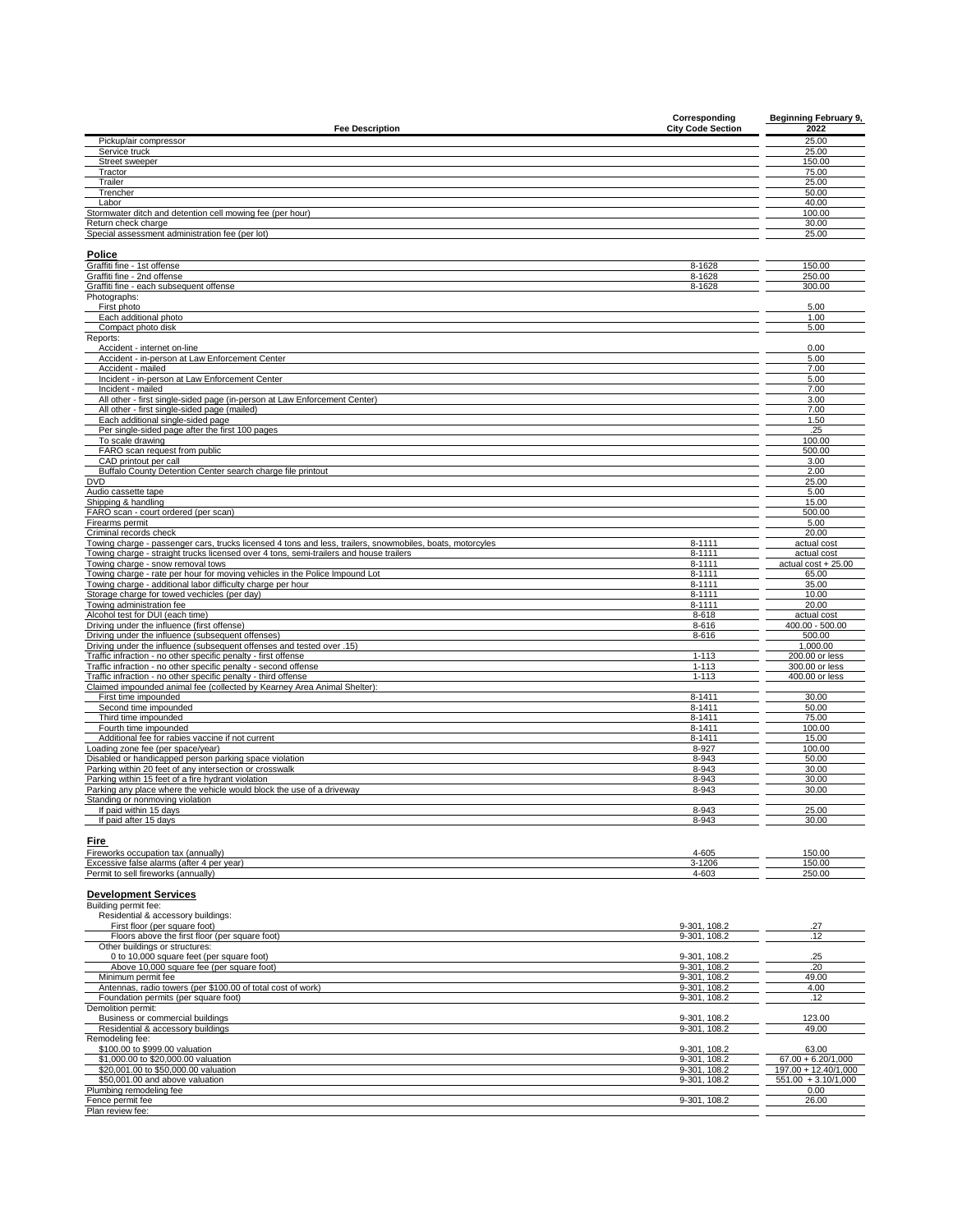| <b>Fee Description</b>                                                                                                                                                                              | Corresponding<br><b>City Code Section</b> | <b>Beginning February 9,</b><br>2022 |
|-----------------------------------------------------------------------------------------------------------------------------------------------------------------------------------------------------|-------------------------------------------|--------------------------------------|
| Pickup/air compressor                                                                                                                                                                               |                                           | 25.00                                |
| Service truck                                                                                                                                                                                       |                                           | 25.00                                |
| Street sweeper                                                                                                                                                                                      |                                           | 150.00                               |
| Tractor<br>Trailer                                                                                                                                                                                  |                                           | 75.00<br>25.00                       |
| Trencher                                                                                                                                                                                            |                                           | 50.00                                |
| Labor                                                                                                                                                                                               |                                           | 40.00                                |
| Stormwater ditch and detention cell mowing fee (per hour)                                                                                                                                           |                                           | 100.00                               |
| Return check charge<br>Special assessment administration fee (per lot)                                                                                                                              |                                           | 30.00<br>25.00                       |
|                                                                                                                                                                                                     |                                           |                                      |
| Police                                                                                                                                                                                              |                                           |                                      |
| Graffiti fine - 1st offense                                                                                                                                                                         | 8-1628                                    | 150.00                               |
| Graffiti fine - 2nd offense<br>Graffiti fine - each subsequent offense                                                                                                                              | 8-1628<br>8-1628                          | 250.00<br>300.00                     |
| Photographs:                                                                                                                                                                                        |                                           |                                      |
| First photo                                                                                                                                                                                         |                                           | 5.00                                 |
| Each additional photo                                                                                                                                                                               |                                           | 1.00                                 |
| Compact photo disk                                                                                                                                                                                  |                                           | 5.00                                 |
| Reports:<br>Accident - internet on-line                                                                                                                                                             |                                           | 0.00                                 |
| Accident - in-person at Law Enforcement Center                                                                                                                                                      |                                           | 5.00                                 |
| Accident - mailed                                                                                                                                                                                   |                                           | 7.00                                 |
| Incident - in-person at Law Enforcement Center                                                                                                                                                      |                                           | 5.00                                 |
| Incident - mailed<br>All other - first single-sided page (in-person at Law Enforcement Center)                                                                                                      |                                           | 7.00<br>3.00                         |
| All other - first single-sided page (mailed)                                                                                                                                                        |                                           | 7.00                                 |
| Each additional single-sided page                                                                                                                                                                   |                                           | 1.50                                 |
| Per single-sided page after the first 100 pages                                                                                                                                                     |                                           | .25                                  |
| To scale drawing<br>FARO scan request from public                                                                                                                                                   |                                           | 100.00<br>500.00                     |
| CAD printout per call                                                                                                                                                                               |                                           | 3.00                                 |
| Buffalo County Detention Center search charge file printout                                                                                                                                         |                                           | 2.00                                 |
| <b>DVD</b>                                                                                                                                                                                          |                                           | 25.00                                |
| Audio cassette tape<br>Shipping & handling                                                                                                                                                          |                                           | 5.00<br>15.00                        |
| FARO scan - court ordered (per scan)                                                                                                                                                                |                                           | 500.00                               |
| Firearms permit                                                                                                                                                                                     |                                           | 5.00                                 |
| Criminal records check                                                                                                                                                                              |                                           | 20.00                                |
| Towing charge - passenger cars, trucks licensed 4 tons and less, trailers, snowmobiles, boats, motorcyles<br>Towing charge - straight trucks licensed over 4 tons, semi-trailers and house trailers | $8 - 1111$<br>$8 - 1111$                  | actual cost<br>actual cost           |
| Towing charge - snow removal tows                                                                                                                                                                   | $8 - 1111$                                | actual cost + 25.00                  |
| Towing charge - rate per hour for moving vehicles in the Police Impound Lot                                                                                                                         | 8-1111                                    | 65.00                                |
| Towing charge - additional labor difficulty charge per hour                                                                                                                                         | $8 - 1111$                                | 35.00                                |
| Storage charge for towed vechicles (per day)                                                                                                                                                        | $8 - 1111$                                | 10.00                                |
| Towing administration fee<br>Alcohol test for DUI (each time)                                                                                                                                       | $8 - 1111$<br>8-618                       | 20.00                                |
| Driving under the influence (first offense)                                                                                                                                                         | 8-616                                     | actual cost<br>$400.00 - 500.00$     |
| Driving under the influence (subsequent offenses)                                                                                                                                                   | 8-616                                     | 500.00                               |
| Driving under the influence (subsequent offenses and tested over .15)                                                                                                                               |                                           | 1,000.00                             |
| Traffic infraction - no other specific penalty - first offense                                                                                                                                      | $1 - 113$                                 | 200.00 or less                       |
| Traffic infraction - no other specific penalty - second offense<br>Traffic infraction - no other specific penalty - third offense                                                                   | $1 - 113$<br>$1 - 113$                    | 300.00 or less<br>400.00 or less     |
| Claimed impounded animal fee (collected by Kearney Area Animal Shelter):                                                                                                                            |                                           |                                      |
| First time impounded                                                                                                                                                                                | $8 - 1411$                                | 30.00                                |
| Second time impounded                                                                                                                                                                               | 8-1411                                    | 50.00                                |
| Third time impounded<br>Fourth time impounded                                                                                                                                                       | 8-1411<br>8-1411                          | 75.00<br>100.00                      |
| Additional fee for rabies vaccine if not current                                                                                                                                                    | 8-1411                                    | 15.00                                |
| Loading zone fee (per space/year)                                                                                                                                                                   | 8-927                                     | 100.00                               |
| Disabled or handicapped person parking space violation                                                                                                                                              | 8-943                                     | 50.00                                |
| Parking within 20 feet of any intersection or crosswalk<br>Parking within 15 feet of a fire hydrant violation                                                                                       | 8-943                                     | 30.00                                |
| Parking any place where the vehicle would block the use of a driveway                                                                                                                               | 8-943<br>8-943                            | 30.00<br>30.00                       |
| Standing or nonmoving violation                                                                                                                                                                     |                                           |                                      |
| If paid within 15 days                                                                                                                                                                              | 8-943                                     | 25.00                                |
| If paid after 15 days                                                                                                                                                                               | 8-943                                     | 30.00                                |
| Fire                                                                                                                                                                                                |                                           |                                      |
| Fireworks occupation tax (annually)                                                                                                                                                                 | 4-605                                     | 150.00                               |
| Excessive false alarms (after 4 per year)                                                                                                                                                           | 3-1206                                    | 150.00                               |
| Permit to sell fireworks (annually)                                                                                                                                                                 | 4-603                                     | 250.00                               |
| <b>Development Services</b>                                                                                                                                                                         |                                           |                                      |
| Building permit fee:                                                                                                                                                                                |                                           |                                      |
| Residential & accessory buildings:                                                                                                                                                                  |                                           |                                      |
| First floor (per square foot)                                                                                                                                                                       | 9-301, 108.2                              | .27                                  |
| Floors above the first floor (per square foot)                                                                                                                                                      | 9-301, 108.2                              | 12                                   |
| Other buildings or structures:                                                                                                                                                                      |                                           |                                      |
| 0 to 10,000 square feet (per square foot)<br>Above 10,000 square fee (per square foot)                                                                                                              | 9-301, 108.2<br>9-301, 108.2              | .25<br>.20                           |
| Minimum permit fee                                                                                                                                                                                  | 9-301.108.2                               | 49.00                                |
| Antennas, radio towers (per \$100.00 of total cost of work)                                                                                                                                         | 9-301, 108.2                              | 4.00                                 |
| Foundation permits (per square foot)                                                                                                                                                                | 9-301, 108.2                              | .12                                  |
| Demolition permit:                                                                                                                                                                                  |                                           |                                      |
| Business or commercial buildings<br>Residential & accessory buildings                                                                                                                               | 9-301, 108.2<br>9-301, 108.2              | 123.00<br>49.00                      |
| Remodeling fee:                                                                                                                                                                                     |                                           |                                      |
| \$100.00 to \$999.00 valuation                                                                                                                                                                      | 9-301, 108.2                              | 63.00                                |
| \$1,000.00 to \$20,000.00 valuation                                                                                                                                                                 | 9-301, 108.2                              | $67.00 + 6.20/1,000$                 |
| \$20,001.00 to \$50,000.00 valuation                                                                                                                                                                | 9-301, 108.2                              | 197.00 + 12.40/1,000                 |
| \$50,001.00 and above valuation<br>Plumbing remodeling fee                                                                                                                                          | 9-301, 108.2                              | $551.00 + 3.10/1,000$<br>0.00        |
| Fence permit fee                                                                                                                                                                                    | 9-301, 108.2                              | 26.00                                |
| Plan review fee:                                                                                                                                                                                    |                                           |                                      |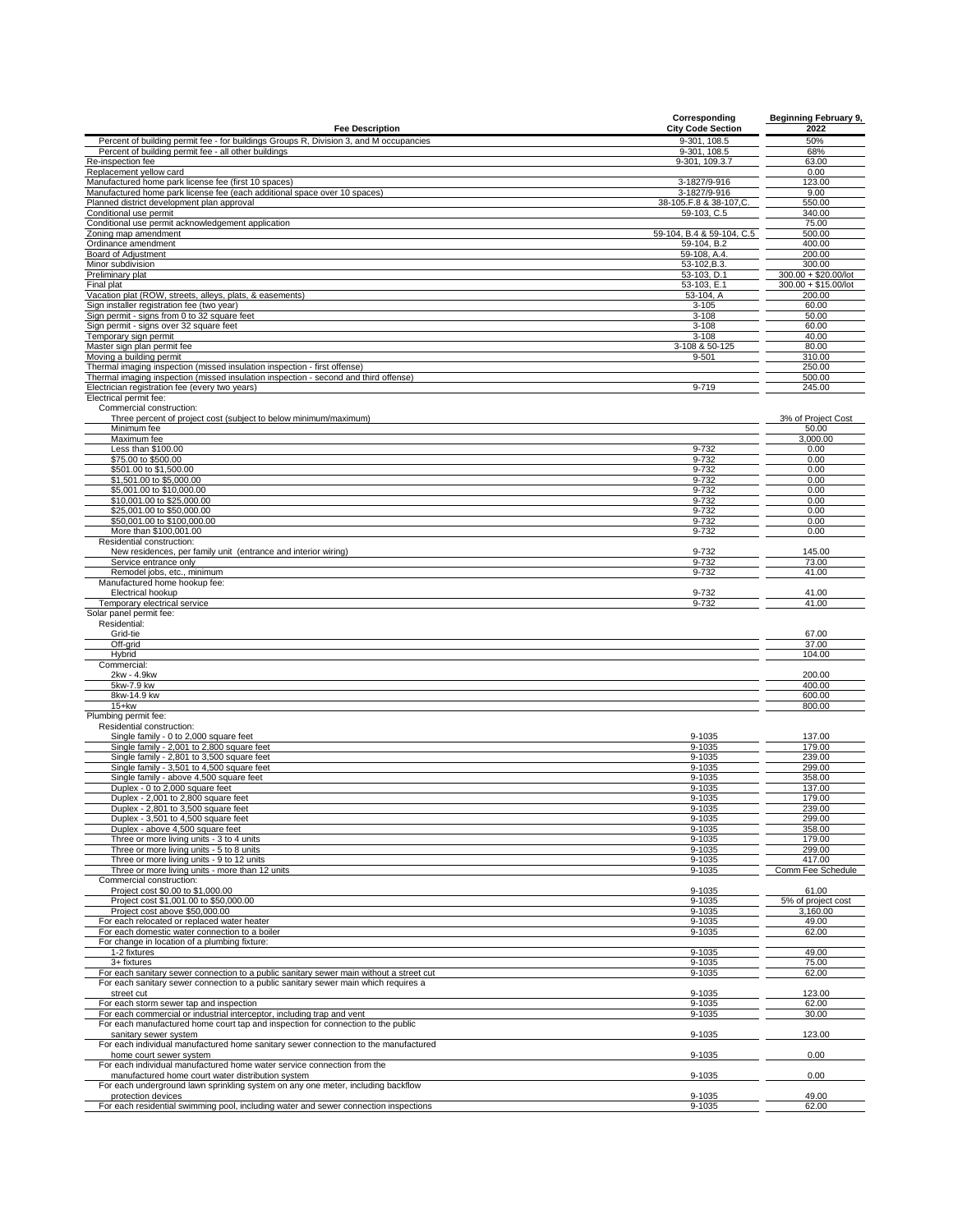| <b>Fee Description</b>                                                                                                                                     | Corresponding<br><b>City Code Section</b> | <b>Beginning February 9,</b><br>2022 |
|------------------------------------------------------------------------------------------------------------------------------------------------------------|-------------------------------------------|--------------------------------------|
| Percent of building permit fee - for buildings Groups R, Division 3, and M occupancies                                                                     | 9-301, 108.5                              | 50%                                  |
| Percent of building permit fee - all other buildings                                                                                                       | 9-301, 108.5                              | 68%                                  |
| Re-inspection fee                                                                                                                                          | 9-301, 109.3.7                            | 63.00                                |
| Replacement yellow card                                                                                                                                    |                                           | 0.00                                 |
| Manufactured home park license fee (first 10 spaces                                                                                                        | 3-1827/9-916                              | 123.00                               |
| Manufactured home park license fee (each additional space over 10 spaces)                                                                                  | 3-1827/9-916                              | 9.00                                 |
| Planned district development plan approval                                                                                                                 | 38-105.F.8 & 38-107,C                     | 550.00                               |
| Conditional use permit                                                                                                                                     | 59-103, C.5                               | 340.00                               |
| Conditional use permit acknowledgement application                                                                                                         |                                           | 75.00                                |
| Zoning map amendment                                                                                                                                       | 59-104, B.4 & 59-104, C.5                 | 500.00                               |
| Ordinance amendment<br>Board of Adjustment                                                                                                                 | 59-104, B.2<br>59-108, A.4.               | 400.00<br>200.00                     |
| Minor subdivision                                                                                                                                          | 53-102, B.3.                              | 300.00                               |
| Preliminary plat                                                                                                                                           | 53-103, D.1                               | 300.00 + \$20.00/lot                 |
| Final plat                                                                                                                                                 | 53-103, E.1                               | 300.00 + \$15.00/lot                 |
| Vacation plat (ROW, streets, alleys, plats, & easements)                                                                                                   | 53-104, A                                 | 200.00                               |
| Sign installer registration fee (two year)                                                                                                                 | $3 - 105$                                 | 60.00                                |
| Sign permit - signs from 0 to 32 square feet                                                                                                               | $3 - 108$                                 | 50.00                                |
| Sign permit - signs over 32 square feet                                                                                                                    | $3 - 108$                                 | 60.00                                |
| Temporary sign permit                                                                                                                                      | $3 - 108$                                 | 40.00                                |
| Master sign plan permit fee                                                                                                                                | 3-108 & 50-125                            | 80.00                                |
| Moving a building permit                                                                                                                                   | $9 - 501$                                 | 310.00                               |
| Thermal imaging inspection (missed insulation inspection - first offense)                                                                                  |                                           | 250.00                               |
| Thermal imaging inspection (missed insulation inspection - second and third offense)                                                                       | 9-719                                     | 500.00                               |
| Electrician registration fee (every two years)<br>Electrical permit fee:                                                                                   |                                           | 245.00                               |
| Commercial construction:                                                                                                                                   |                                           |                                      |
| Three percent of project cost (subject to below minimum/maximum)                                                                                           |                                           | 3% of Project Cost                   |
| Minimum fee                                                                                                                                                |                                           | 50.00                                |
| Maximum fee                                                                                                                                                |                                           | 3.000.00                             |
| Less than \$100.00                                                                                                                                         | 9-732                                     | 0.00                                 |
| \$75.00 to \$500.00                                                                                                                                        | 9-732                                     | 0.00                                 |
| \$501.00 to \$1,500.00                                                                                                                                     | 9-732                                     | 0.00                                 |
| \$1,501.00 to \$5,000.00                                                                                                                                   | 9-732                                     | 0.00                                 |
| \$5,001.00 to \$10,000.00                                                                                                                                  | 9-732                                     | 0.00                                 |
| \$10,001.00 to \$25,000.00                                                                                                                                 | 9-732                                     | 0.00                                 |
| \$25,001.00 to \$50,000.00                                                                                                                                 | 9-732                                     | 0.00                                 |
| \$50,001.00 to \$100,000.00                                                                                                                                | 9-732                                     | 0.00                                 |
| More than \$100,001.00                                                                                                                                     | 9-732                                     | 0.00                                 |
| Residential construction:                                                                                                                                  |                                           |                                      |
| New residences, per family unit (entrance and interior wiring)<br>Service entrance only                                                                    | 9-732<br>9-732                            | 145.00<br>73.00                      |
| Remodel jobs, etc., minimum                                                                                                                                | 9-732                                     | 41.00                                |
| Manufactured home hookup fee:                                                                                                                              |                                           |                                      |
| Electrical hookup                                                                                                                                          | 9-732                                     | 41.00                                |
| Temporary electrical service                                                                                                                               | 9-732                                     | 41.00                                |
| Solar panel permit fee:                                                                                                                                    |                                           |                                      |
| Residential:                                                                                                                                               |                                           |                                      |
| Grid-tie                                                                                                                                                   |                                           | 67.00                                |
| Off-grid                                                                                                                                                   |                                           | 37.00                                |
| Hybrid                                                                                                                                                     |                                           | 104.00                               |
| Commercial:                                                                                                                                                |                                           |                                      |
| 2kw - 4.9kw                                                                                                                                                |                                           | 200.00                               |
| 5kw-7.9 kw                                                                                                                                                 |                                           | 400.00                               |
| 8kw-14.9 kw<br>$15+kw$                                                                                                                                     |                                           | 600.00<br>800.00                     |
| Plumbing permit fee:                                                                                                                                       |                                           |                                      |
| Residential construction:                                                                                                                                  |                                           |                                      |
| Single family - 0 to 2,000 square feet                                                                                                                     | 9-1035                                    | 137.00                               |
| Single family - 2,001 to 2,800 square feet                                                                                                                 | 9-1035                                    | 179.00                               |
| Single family - 2,801 to 3,500 square feet                                                                                                                 | 9-1035                                    | 239.00                               |
| Single family - 3,501 to 4,500 square feet                                                                                                                 | 9-1035                                    | 299.00                               |
| Single family - above 4,500 square feet                                                                                                                    | 9-1035                                    | 358.00                               |
| Duplex - 0 to 2,000 square feet                                                                                                                            | 9-1035                                    | 137.00                               |
| Duplex - 2,001 to 2,800 square feet                                                                                                                        | 9-1035                                    | 179.00                               |
| Duplex - 2,801 to 3,500 square feet                                                                                                                        | 9-1035                                    | 239.00                               |
| Duplex - 3,501 to 4,500 square feet                                                                                                                        | 9-1035                                    | 299.00                               |
| Duplex - above 4.500 square feet<br>Three or more living units - 3 to 4 units                                                                              | 9-1035<br>9-1035                          | 358.00<br>179.00                     |
| Three or more living units - 5 to 8 units                                                                                                                  | $9 - 1035$                                | 299.00                               |
| Three or more living units - 9 to 12 units                                                                                                                 | 9-1035                                    | 417.00                               |
| Three or more living units - more than 12 units                                                                                                            | 9-1035                                    | Comm Fee Schedule                    |
| Commercial construction:                                                                                                                                   |                                           |                                      |
| Project cost \$0.00 to \$1,000.00                                                                                                                          | 9-1035                                    | 61.00                                |
| Project cost \$1,001.00 to \$50,000.00                                                                                                                     | 9-1035                                    | 5% of project cost                   |
| Project cost above \$50,000.00                                                                                                                             | 9-1035                                    | 3,160.00                             |
| For each relocated or replaced water heater                                                                                                                | 9-1035                                    | 49.00                                |
| For each domestic water connection to a boiler                                                                                                             | 9-1035                                    | 62.00                                |
| For change in location of a plumbing fixture:                                                                                                              |                                           |                                      |
| 1-2 fixtures                                                                                                                                               | 9-1035                                    | 49.00                                |
| 3+ fixtures                                                                                                                                                | 9-1035                                    | 75.00                                |
| For each sanitary sewer connection to a public sanitary sewer main without a street cut                                                                    | 9-1035                                    | 62.00                                |
| For each sanitary sewer connection to a public sanitary sewer main which requires a                                                                        |                                           |                                      |
| street cut                                                                                                                                                 | 9-1035                                    | 123.00                               |
| For each storm sewer tap and inspection                                                                                                                    | 9-1035                                    | 62.00                                |
| For each commercial or industrial interceptor, including trap and vent<br>For each manufactured home court tap and inspection for connection to the public | 9-1035                                    | 30.00                                |
| sanitary sewer system                                                                                                                                      | 9-1035                                    | 123.00                               |
| For each individual manufactured home sanitary sewer connection to the manufactured                                                                        |                                           |                                      |
| home court sewer system                                                                                                                                    | 9-1035                                    | 0.00                                 |
| For each individual manufactured home water service connection from the                                                                                    |                                           |                                      |
| manufactured home court water distribution system                                                                                                          | 9-1035                                    | 0.00                                 |
| For each underground lawn sprinkling system on any one meter, including backflow                                                                           |                                           |                                      |
| protection devices                                                                                                                                         | 9-1035                                    | 49.00                                |
| For each residential swimming pool, including water and sewer connection inspections                                                                       | 9-1035                                    | 62.00                                |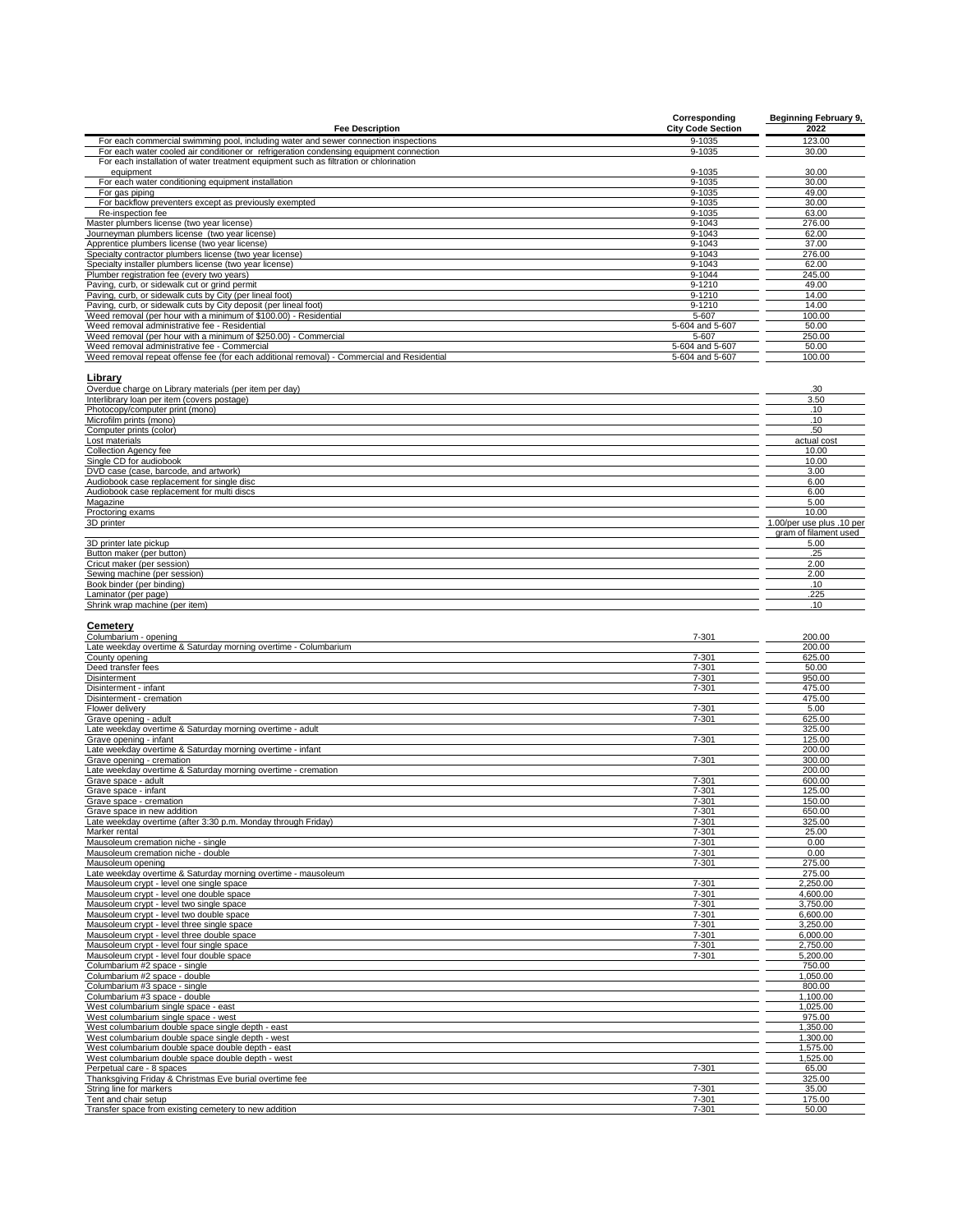|                                                                                            | Corresponding            | Beginning February 9, |
|--------------------------------------------------------------------------------------------|--------------------------|-----------------------|
| <b>Fee Description</b>                                                                     | <b>City Code Section</b> | 2022                  |
| For each commercial swimming pool, including water and sewer connection inspections        | 9-1035                   | 123.00                |
| For each water cooled air conditioner or refrigeration condensing equipment connection     | 9-1035                   | 30.00                 |
| For each installation of water treatment equipment such as filtration or chlorination      |                          |                       |
| equipment                                                                                  | 9-1035                   | 30.00                 |
| For each water conditioning equipment installation                                         | 9-1035                   | 30.00                 |
| For gas piping                                                                             | 9-1035                   | 49.00                 |
| For backflow preventers except as previously exempted                                      | 9-1035                   | 30.00                 |
| Re-inspection fee                                                                          | 9-1035                   | 63.00                 |
| Master plumbers license (two year license)                                                 | 9-1043                   | 276.00                |
| Journeyman plumbers license (two year license)                                             | 9-1043                   | 62.00                 |
| Apprentice plumbers license (two year license)                                             | 9-1043                   | 37.00                 |
| Specialty contractor plumbers license (two year license)                                   | 9-1043                   | 276.00                |
| Specialty installer plumbers license (two year license)                                    | 9-1043                   | 62.00                 |
| Plumber registration fee (every two years)                                                 | 9-1044                   | 245.00                |
| Paving, curb, or sidewalk cut or grind permit                                              | 9-1210                   | 49.00                 |
| Paving, curb, or sidewalk cuts by City (per lineal foot)                                   | 9-1210                   | 14.00                 |
| Paving, curb, or sidewalk cuts by City deposit (per lineal foot)                           | 9-1210                   | 14.00                 |
| Weed removal (per hour with a minimum of \$100.00) - Residential                           | 5-607                    | 100.00                |
| Weed removal administrative fee - Residential                                              | 5-604 and 5-607          | 50.00                 |
| Weed removal (per hour with a minimum of \$250.00) - Commercial                            | 5-607                    | 250.00                |
| Weed removal administrative fee - Commercial                                               | 5-604 and 5-607          | 50.00                 |
| Weed removal repeat offense fee (for each additional removal) - Commercial and Residential | 5-604 and 5-607          | 100.00                |

**Library** Overdue charge on Library materials (per item per day) .30

| <u>the contract of the contract of the contract of the contract of the contract of the contract of the contract of the contract of the contract of the contract of the contract of the contract of the contract of the contract </u> |                           |
|--------------------------------------------------------------------------------------------------------------------------------------------------------------------------------------------------------------------------------------|---------------------------|
| Interlibrary loan per item (covers postage)                                                                                                                                                                                          | 3.50                      |
| Photocopy/computer print (mono)                                                                                                                                                                                                      | .10                       |
| Microfilm prints (mono)                                                                                                                                                                                                              | .10                       |
| Computer prints (color)                                                                                                                                                                                                              | .50                       |
| Lost materials                                                                                                                                                                                                                       | actual cost               |
| <b>Collection Agency fee</b>                                                                                                                                                                                                         | 10.00                     |
| Single CD for audiobook                                                                                                                                                                                                              | 10.00                     |
| DVD case (case, barcode, and artwork)                                                                                                                                                                                                | 3.00                      |
| Audiobook case replacement for single disc                                                                                                                                                                                           | 6.00                      |
| Audiobook case replacement for multi discs                                                                                                                                                                                           | 6.00                      |
| Magazine                                                                                                                                                                                                                             | 5.00                      |
| Proctoring exams                                                                                                                                                                                                                     | 10.00                     |
| 3D printer                                                                                                                                                                                                                           | 1.00/per use plus .10 per |
|                                                                                                                                                                                                                                      | gram of filament used     |
| 3D printer late pickup                                                                                                                                                                                                               | 5.00                      |
| Button maker (per button)                                                                                                                                                                                                            | .25                       |
| Cricut maker (per session)                                                                                                                                                                                                           | 2.00                      |
| Sewing machine (per session)                                                                                                                                                                                                         | 2.00                      |
| Book binder (per binding)                                                                                                                                                                                                            | .10                       |
| Laminator (per page)                                                                                                                                                                                                                 | .225                      |
| Shrink wrap machine (per item)                                                                                                                                                                                                       | .10                       |
|                                                                                                                                                                                                                                      |                           |

### **Cemetery**

| Columbarium - opening                                           | $7 - 301$ | 200.00   |
|-----------------------------------------------------------------|-----------|----------|
| Late weekday overtime & Saturday morning overtime - Columbarium |           | 200.00   |
| County opening                                                  | $7 - 301$ | 625.00   |
| Deed transfer fees                                              | $7 - 301$ | 50.00    |
| <b>Disinterment</b>                                             | $7 - 301$ | 950.00   |
| Disinterment - infant                                           | 7-301     | 475.00   |
| Disinterment - cremation                                        |           | 475.00   |
| Flower delivery                                                 | $7 - 301$ | 5.00     |
| Grave opening - adult                                           | $7 - 301$ | 625.00   |
| Late weekday overtime & Saturday morning overtime - adult       |           | 325.00   |
| Grave opening - infant                                          | $7 - 301$ | 125.00   |
| Late weekday overtime & Saturday morning overtime - infant      |           | 200.00   |
| Grave opening - cremation                                       | $7 - 301$ | 300.00   |
| Late weekday overtime & Saturday morning overtime - cremation   |           | 200.00   |
| Grave space - adult                                             | 7-301     | 600.00   |
| Grave space - infant                                            | $7 - 301$ | 125.00   |
| Grave space - cremation                                         | $7 - 301$ | 150.00   |
| Grave space in new addition                                     | $7 - 301$ | 650.00   |
| Late weekday overtime (after 3:30 p.m. Monday through Friday)   | 7-301     | 325.00   |
| Marker rental                                                   | $7 - 301$ | 25.00    |
| Mausoleum cremation niche - single                              | $7 - 301$ | 0.00     |
| Mausoleum cremation niche - double                              | $7 - 301$ | 0.00     |
| Mausoleum opening                                               | $7 - 301$ | 275.00   |
| Late weekday overtime & Saturday morning overtime - mausoleum   |           | 275.00   |
| Mausoleum crypt - level one single space                        | $7 - 301$ | 2.250.00 |
| Mausoleum crypt - level one double space                        | $7 - 301$ | 4.600.00 |
| Mausoleum crypt - level two single space                        | 7-301     | 3,750.00 |
| Mausoleum crypt - level two double space                        | $7 - 301$ | 6,600.00 |
| Mausoleum crypt - level three single space                      | 7-301     | 3,250.00 |
| Mausoleum crypt - level three double space                      | $7 - 301$ | 6,000.00 |
| Mausoleum crypt - level four single space                       | 7-301     | 2.750.00 |
| Mausoleum crypt - level four double space                       | 7-301     | 5,200.00 |
| Columbarium #2 space - single                                   |           | 750.00   |
| Columbarium #2 space - double                                   |           | 1.050.00 |
| Columbarium #3 space - single                                   |           | 800.00   |
| Columbarium #3 space - double                                   |           | 1.100.00 |
| West columbarium single space - east                            |           | 1.025.00 |
| West columbarium single space - west                            |           | 975.00   |
| West columbarium double space single depth - east               |           | 1,350.00 |
| West columbarium double space single depth - west               |           | 1,300.00 |
| West columbarium double space double depth - east               |           | 1,575.00 |
| West columbarium double space double depth - west               |           | 1.525.00 |
| Perpetual care - 8 spaces                                       | $7 - 301$ | 65.00    |
| Thanksgiving Friday & Christmas Eve burial overtime fee         |           | 325.00   |
| String line for markers                                         | $7 - 301$ | 35.00    |
| Tent and chair setup                                            | $7 - 301$ | 175.00   |
| Transfer space from existing cemetery to new addition           | $7 - 301$ | 50.00    |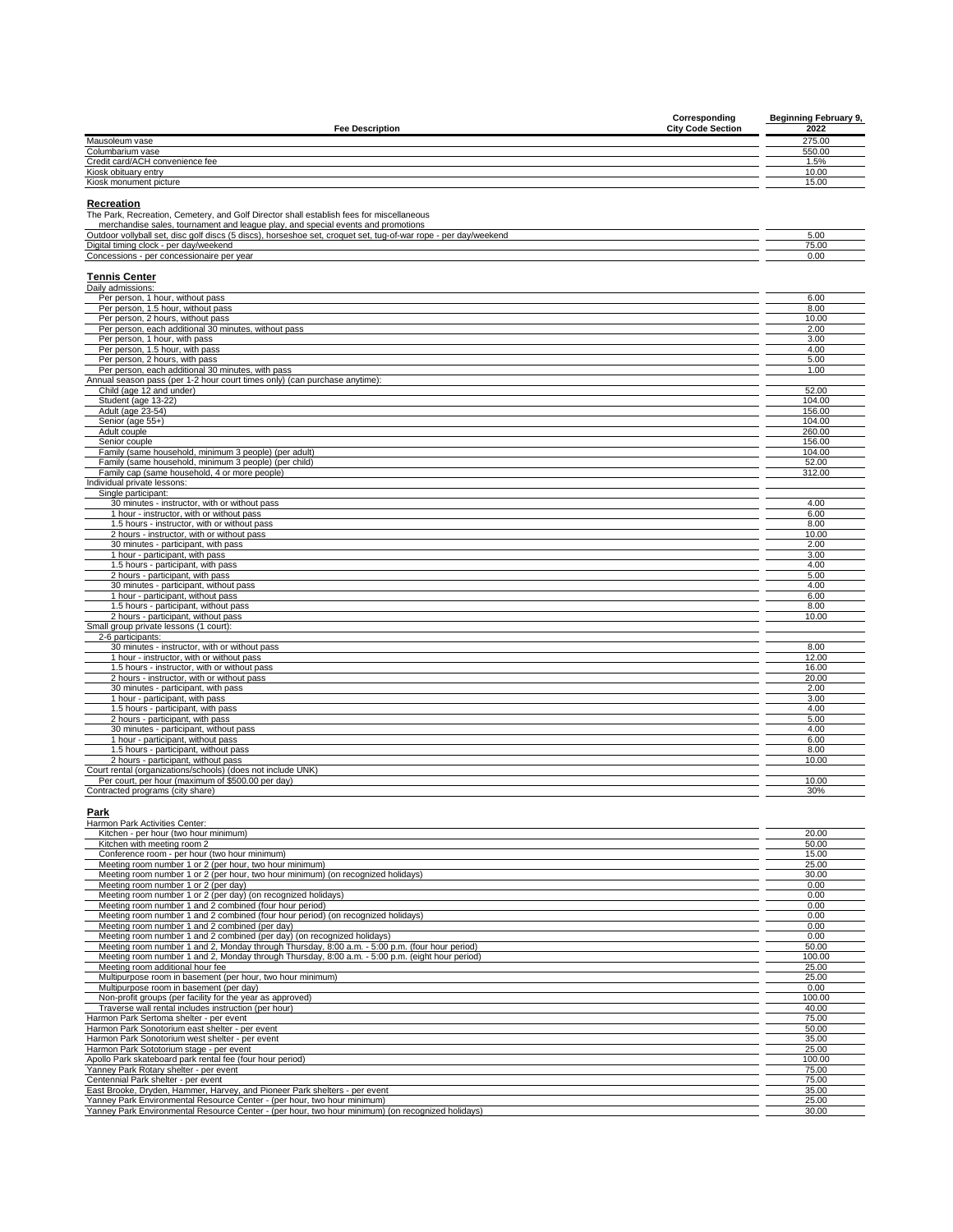| Corresponding                                                                                                   | <b>Beginning February 9,</b> |
|-----------------------------------------------------------------------------------------------------------------|------------------------------|
| <b>Fee Description</b><br><b>City Code Section</b>                                                              | 2022                         |
| Mausoleum vase                                                                                                  | 275.00                       |
| Columbarium vase                                                                                                | 550.00                       |
| Credit card/ACH convenience fee                                                                                 | 1.5%                         |
| Kiosk obituary entry                                                                                            | 10.00                        |
| Kiosk monument picture                                                                                          | 15.00                        |
| Recreation                                                                                                      |                              |
| The Park, Recreation, Cemetery, and Golf Director shall establish fees for miscellaneous                        |                              |
| merchandise sales, tournament and league play, and special events and promotions                                |                              |
| Outdoor vollyball set, disc golf discs (5 discs), horseshoe set, croquet set, tug-of-war rope - per day/weekend | 5.00                         |
| Digital timing clock - per day/weekend                                                                          | 75.00                        |
| Concessions - per concessionaire per year                                                                       | 0.00                         |
|                                                                                                                 |                              |
| <b>Tennis Center</b><br>Daily admissions:                                                                       |                              |
| Per person, 1 hour, without pass                                                                                | 6.00                         |
| Per person, 1.5 hour, without pass                                                                              | 8.00                         |
| Per person, 2 hours, without pass                                                                               | 10.00                        |
| Per person, each additional 30 minutes, without pass                                                            | 2.00                         |
| Per person, 1 hour, with pass                                                                                   | 3.00                         |
| Per person, 1.5 hour, with pass                                                                                 | 4.00                         |
| Per person, 2 hours, with pass                                                                                  | 5.00                         |
| Per person, each additional 30 minutes, with pass                                                               | 1.00                         |
| Annual season pass (per 1-2 hour court times only) (can purchase anytime):                                      |                              |
| Child (age 12 and under)                                                                                        | 52.00                        |
| Student (age 13-22)                                                                                             | 104.00                       |
| Adult (age 23-54)                                                                                               | 156.00                       |
| Senior (age 55+)                                                                                                | 104.00                       |
| Adult couple                                                                                                    | 260.00                       |
| Senior couple                                                                                                   | 156.00                       |
| Family (same household, minimum 3 people) (per adult)                                                           | 104.00                       |
| Family (same household, minimum 3 people) (per child)                                                           | 52.00                        |
| Family cap (same household, 4 or more people)<br>Individual private lessons:                                    | 312.00                       |
| Single participant:                                                                                             |                              |
| 30 minutes - instructor, with or without pass                                                                   | 4.00                         |
| 1 hour - instructor, with or without pass                                                                       | 6.00                         |
| 1.5 hours - instructor, with or without pass                                                                    | 8.00                         |
| 2 hours - instructor, with or without pass                                                                      | 10.00                        |
| 30 minutes - participant, with pass                                                                             | 2.00                         |
| 1 hour - participant, with pass                                                                                 | 3.00                         |
| 1.5 hours - participant, with pass                                                                              | 4.00                         |
| 2 hours - participant, with pass                                                                                | 5.00                         |
| 30 minutes - participant, without pass                                                                          | 4.00                         |
| 1 hour - participant, without pass                                                                              | 6.00                         |
| 1.5 hours - participant, without pass                                                                           | 8.00                         |
| 2 hours - participant, without pass                                                                             | 10.00                        |
| Small group private lessons (1 court):                                                                          |                              |
| 2-6 participants:<br>30 minutes - instructor, with or without pass                                              | 8.00                         |
| 1 hour - instructor, with or without pass                                                                       | 12.00                        |
| 1.5 hours - instructor, with or without pass                                                                    | 16.00                        |
| 2 hours - instructor, with or without pass                                                                      | 20.00                        |
| 30 minutes - participant, with pass                                                                             | 2.00                         |
| 1 hour - participant, with pass                                                                                 | 3.00                         |
| 1.5 hours - participant, with pass                                                                              | 4.00                         |
| 2 hours - participant, with pass                                                                                | 5.00                         |
| 30 minutes - participant, without pass                                                                          | 4.00                         |
| 1 hour - participant, without pass                                                                              | 6.00                         |
| 1.5 hours - participant, without pass                                                                           | 8.00                         |
| 2 hours - participant, without pass                                                                             | 10.00                        |
| Court rental (organizations/schools) (does not include UNK)                                                     |                              |
| Per court, per hour (maximum of \$500.00 per day)                                                               | 10.00                        |
| Contracted programs (city share)                                                                                | 30%                          |

## **Park** Harmon Park Activities Center:

| Kitchen - per hour (two hour minimum)                                                             | 20.00  |
|---------------------------------------------------------------------------------------------------|--------|
| Kitchen with meeting room 2                                                                       | 50.00  |
| Conference room - per hour (two hour minimum)                                                     | 15.00  |
| Meeting room number 1 or 2 (per hour, two hour minimum)                                           | 25.00  |
| Meeting room number 1 or 2 (per hour, two hour minimum) (on recognized holidays)                  | 30.00  |
| Meeting room number 1 or 2 (per day)                                                              | 0.00   |
| Meeting room number 1 or 2 (per day) (on recognized holidays)                                     | 0.00   |
| Meeting room number 1 and 2 combined (four hour period)                                           | 0.00   |
| Meeting room number 1 and 2 combined (four hour period) (on recognized holidays)                  | 0.00   |
| Meeting room number 1 and 2 combined (per day)                                                    | 0.00   |
| Meeting room number 1 and 2 combined (per day) (on recognized holidays)                           | 0.00   |
| Meeting room number 1 and 2, Monday through Thursday, 8:00 a.m. - 5:00 p.m. (four hour period)    | 50.00  |
| Meeting room number 1 and 2, Monday through Thursday, 8:00 a.m. - 5:00 p.m. (eight hour period)   | 100.00 |
| Meeting room additional hour fee                                                                  | 25.00  |
| Multipurpose room in basement (per hour, two hour minimum)                                        | 25.00  |
| Multipurpose room in basement (per day)                                                           | 0.00   |
| Non-profit groups (per facility for the year as approved)                                         | 100.00 |
| Traverse wall rental includes instruction (per hour)                                              | 40.00  |
| Harmon Park Sertoma shelter - per event                                                           | 75.00  |
| Harmon Park Sonotorium east shelter - per event                                                   | 50.00  |
| Harmon Park Sonotorium west shelter - per event                                                   | 35.00  |
| Harmon Park Sototorium stage - per event                                                          | 25.00  |
| Apollo Park skateboard park rental fee (four hour period)                                         | 100.00 |
| Yanney Park Rotary shelter - per event                                                            | 75.00  |
| Centennial Park shelter - per event                                                               | 75.00  |
| East Brooke, Dryden, Hammer, Harvey, and Pioneer Park shelters - per event                        | 35.00  |
| Yanney Park Environmental Resource Center - (per hour, two hour minimum)                          | 25.00  |
| Yanney Park Environmental Resource Center - (per hour, two hour minimum) (on recognized holidays) | 30.00  |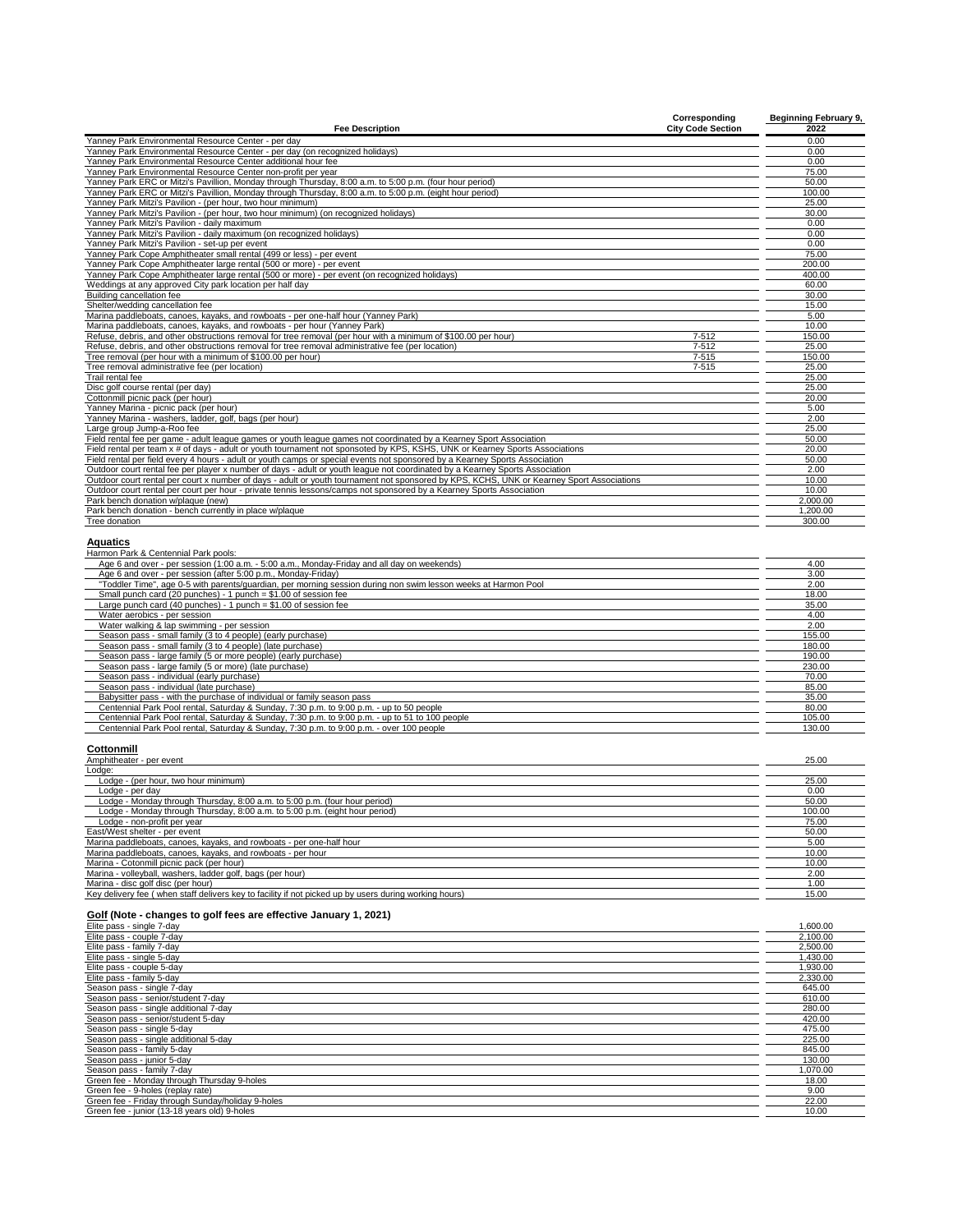| <b>Fee Description</b>                                                                                                                                                                                                                              | Corresponding<br><b>City Code Section</b> | <b>Beginning February 9,</b><br>2022 |
|-----------------------------------------------------------------------------------------------------------------------------------------------------------------------------------------------------------------------------------------------------|-------------------------------------------|--------------------------------------|
| Yanney Park Environmental Resource Center - per day                                                                                                                                                                                                 |                                           | 0.00                                 |
| Yanney Park Environmental Resource Center - per day (on recognized holidays)                                                                                                                                                                        |                                           | 0.00                                 |
| Yanney Park Environmental Resource Center additional hour fee<br>Yanney Park Environmental Resource Center non-profit per year                                                                                                                      |                                           | 0.00<br>75.00                        |
| Yanney Park ERC or Mitzi's Pavillion, Monday through Thursday, 8:00 a.m. to 5:00 p.m. (four hour period)                                                                                                                                            |                                           | 50.00                                |
| Yanney Park ERC or Mitzi's Pavillion, Monday through Thursday, 8:00 a.m. to 5:00 p.m. (eight hour period)                                                                                                                                           |                                           | 100.00                               |
| Yanney Park Mitzi's Pavilion - (per hour, two hour minimum)                                                                                                                                                                                         |                                           | 25.00                                |
| Yanney Park Mitzi's Pavilion - (per hour, two hour minimum) (on recognized holidays)<br>Yanney Park Mitzi's Pavilion - daily maximum                                                                                                                |                                           | 30.00<br>0.00                        |
| Yanney Park Mitzi's Pavilion - daily maximum (on recognized holidays)                                                                                                                                                                               |                                           | 0.00                                 |
| Yanney Park Mitzi's Pavilion - set-up per event                                                                                                                                                                                                     |                                           | 0.00                                 |
| Yanney Park Cope Amphitheater small rental (499 or less) - per event                                                                                                                                                                                |                                           | 75.00                                |
| Yanney Park Cope Amphitheater large rental (500 or more) - per event                                                                                                                                                                                |                                           | 200.00                               |
| Yanney Park Cope Amphitheater large rental (500 or more) - per event (on recognized holidays)<br>Weddings at any approved City park location per half day                                                                                           |                                           | 400.00<br>60.00                      |
| Building cancellation fee                                                                                                                                                                                                                           |                                           | 30.00                                |
| Shelter/wedding cancellation fee                                                                                                                                                                                                                    |                                           | 15.00                                |
| Marina paddleboats, canoes, kayaks, and rowboats - per one-half hour (Yanney Park)                                                                                                                                                                  |                                           | 5.00                                 |
| Marina paddleboats, canoes, kayaks, and rowboats - per hour (Yanney Park)<br>Refuse, debris, and other obstructions removal for tree removal (per hour with a minimum of \$100.00 per hour)                                                         | 7-512                                     | 10.00<br>150.00                      |
| Refuse, debris, and other obstructions removal for tree removal administrative fee (per location)                                                                                                                                                   | 7-512                                     | 25.00                                |
| Tree removal (per hour with a minimum of \$100.00 per hour)                                                                                                                                                                                         | 7-515                                     | 150.00                               |
| Tree removal administrative fee (per location)                                                                                                                                                                                                      | $7 - 515$                                 | 25.00                                |
| Trail rental fee<br>Disc golf course rental (per day)                                                                                                                                                                                               |                                           | 25.00<br>25.00                       |
| Cottonmill picnic pack (per hour)                                                                                                                                                                                                                   |                                           | 20.00                                |
| Yanney Marina - picnic pack (per hour)                                                                                                                                                                                                              |                                           | 5.00                                 |
| Yanney Marina - washers, ladder, golf, bags (per hour)                                                                                                                                                                                              |                                           | 2.00                                 |
| Large group Jump-a-Roo fee                                                                                                                                                                                                                          |                                           | 25.00                                |
| Field rental fee per game - adult league games or youth league games not coordinated by a Kearney Sport Association<br>Field rental per team x # of days - adult or youth tournament not sponsoted by KPS, KSHS, UNK or Kearney Sports Associations |                                           | 50.00<br>20.00                       |
| Field rental per field every 4 hours - adult or youth camps or special events not sponsored by a Kearney Sports Association                                                                                                                         |                                           | 50.00                                |
| Outdoor court rental fee per player x number of days - adult or youth league not coordinated by a Kearney Sports Association                                                                                                                        |                                           | 2.00                                 |
| Outdoor court rental per court x number of days - adult or youth tournament not sponsored by KPS, KCHS, UNK or Kearney Sport Associations                                                                                                           |                                           | 10.00                                |
| Outdoor court rental per court per hour - private tennis lessons/camps not sponsored by a Kearney Sports Association<br>Park bench donation w/plaque (new)                                                                                          |                                           | 10.00<br>2,000.00                    |
| Park bench donation - bench currently in place w/plaque                                                                                                                                                                                             |                                           | 1,200.00                             |
| Tree donation                                                                                                                                                                                                                                       |                                           | 300.00                               |
| Aquatics                                                                                                                                                                                                                                            |                                           |                                      |
| Harmon Park & Centennial Park pools:<br>Age 6 and over - per session (1:00 a.m. - 5:00 a.m., Monday-Friday and all day on weekends)                                                                                                                 |                                           | 4.00                                 |
| Age 6 and over - per session (after 5:00 p.m., Monday-Friday)                                                                                                                                                                                       |                                           | 3.00                                 |
| "Toddler Time", age 0-5 with parents/guardian, per morning session during non swim lesson weeks at Harmon Pool                                                                                                                                      |                                           | 2.00                                 |
| Small punch card (20 punches) - 1 punch = \$1.00 of session fee                                                                                                                                                                                     |                                           | 18.00                                |
| Large punch card (40 punches) - 1 punch = $$1.00$ of session fee<br>Water aerobics - per session                                                                                                                                                    |                                           | 35.00<br>4.00                        |
| Water walking & lap swimming - per session                                                                                                                                                                                                          |                                           | 2.00                                 |
| Season pass - small family (3 to 4 people) (early purchase)                                                                                                                                                                                         |                                           | 155.00                               |
| Season pass - small family (3 to 4 people) (late purchase)                                                                                                                                                                                          |                                           | 180.00<br>190.00                     |
| Season pass - large family (5 or more people) (early purchase)<br>Season pass - large family (5 or more) (late purchase)                                                                                                                            |                                           | 230.00                               |
| Season pass - individual (early purchase)                                                                                                                                                                                                           |                                           | 70.00                                |
| Season pass - individual (late purchase)                                                                                                                                                                                                            |                                           | 85.00                                |
| Babysitter pass - with the purchase of individual or family season pass<br>Centennial Park Pool rental, Saturday & Sunday, 7:30 p.m. to 9:00 p.m. - up to 50 people                                                                                 |                                           | 35.00<br>80.00                       |
| Centennial Park Pool rental, Saturday & Sunday, 7:30 p.m. to 9:00 p.m. - up to 51 to 100 people                                                                                                                                                     |                                           | 105.00                               |
| Centennial Park Pool rental, Saturday & Sunday, 7:30 p.m. to 9:00 p.m. - over 100 people                                                                                                                                                            |                                           | 130.00                               |
| Cottonmill                                                                                                                                                                                                                                          |                                           |                                      |
| Amphitheater - per event<br>Lodge:                                                                                                                                                                                                                  |                                           | 25.00                                |
| Lodge - (per hour, two hour minimum)                                                                                                                                                                                                                |                                           | 25.00                                |
| Lodge - per day<br>Lodge - Monday through Thursday, 8:00 a.m. to 5:00 p.m. (four hour period)                                                                                                                                                       |                                           | 0.00<br>50.00                        |
| Lodge - Monday through Thursday, 8:00 a.m. to 5:00 p.m. (eight hour period)                                                                                                                                                                         |                                           | 100.00                               |
| Lodge - non-profit per year                                                                                                                                                                                                                         |                                           | 75.00                                |
| East/West shelter - per event                                                                                                                                                                                                                       |                                           | 50.00                                |
| Marina paddleboats, canoes, kayaks, and rowboats - per one-half hour                                                                                                                                                                                |                                           | 5.00                                 |
| Marina paddleboats, canoes, kayaks, and rowboats - per hour<br>Marina - Cotonmill picnic pack (per hour)                                                                                                                                            |                                           | 10.00<br>10.00                       |
| Marina - volleyball, washers, ladder golf, bags (per hour)                                                                                                                                                                                          |                                           | 2.00                                 |
| Marina - disc golf disc (per hour)                                                                                                                                                                                                                  |                                           | 1.00                                 |
| Key delivery fee (when staff delivers key to facility if not picked up by users during working hours)                                                                                                                                               |                                           | 15.00                                |
| Golf (Note - changes to golf fees are effective January 1, 2021)<br>Elite pass - single 7-day                                                                                                                                                       |                                           | 1,600.00                             |
| Elite pass - couple 7-day<br>Elite pass - family 7-day                                                                                                                                                                                              |                                           | 2,100.00                             |
| Elite pass - single 5-day                                                                                                                                                                                                                           |                                           | 2,500.00<br>1,430.00                 |
| Elite pass - couple 5-day                                                                                                                                                                                                                           |                                           | 1,930.00                             |
| Elite pass - family 5-day                                                                                                                                                                                                                           |                                           | 2,330.00                             |
| Season pass - single 7-day<br>Season pass - senior/student 7-day                                                                                                                                                                                    |                                           | 645.00<br>610.00                     |
| Season pass - single additional 7-day                                                                                                                                                                                                               |                                           | 280.00                               |
| Season pass - senior/student 5-day                                                                                                                                                                                                                  |                                           | 420.00                               |
| Season pass - single 5-day                                                                                                                                                                                                                          |                                           | 475.00                               |
| Season pass - single additional 5-day                                                                                                                                                                                                               |                                           | 225.00                               |
| Season pass - family 5-day<br>Season pass - junior 5-day                                                                                                                                                                                            |                                           | 845.00<br>130.00                     |
| Season pass - family 7-day                                                                                                                                                                                                                          |                                           | 1,070.00                             |
| Green fee - Monday through Thursday 9-holes                                                                                                                                                                                                         |                                           | 18.00                                |
| Green fee - 9-holes (replay rate)                                                                                                                                                                                                                   |                                           | 9.00                                 |
| Green fee - Friday through Sunday/holiday 9-holes<br>Green fee - junior (13-18 years old) 9-holes                                                                                                                                                   |                                           | 22.00<br>10.00                       |
|                                                                                                                                                                                                                                                     |                                           |                                      |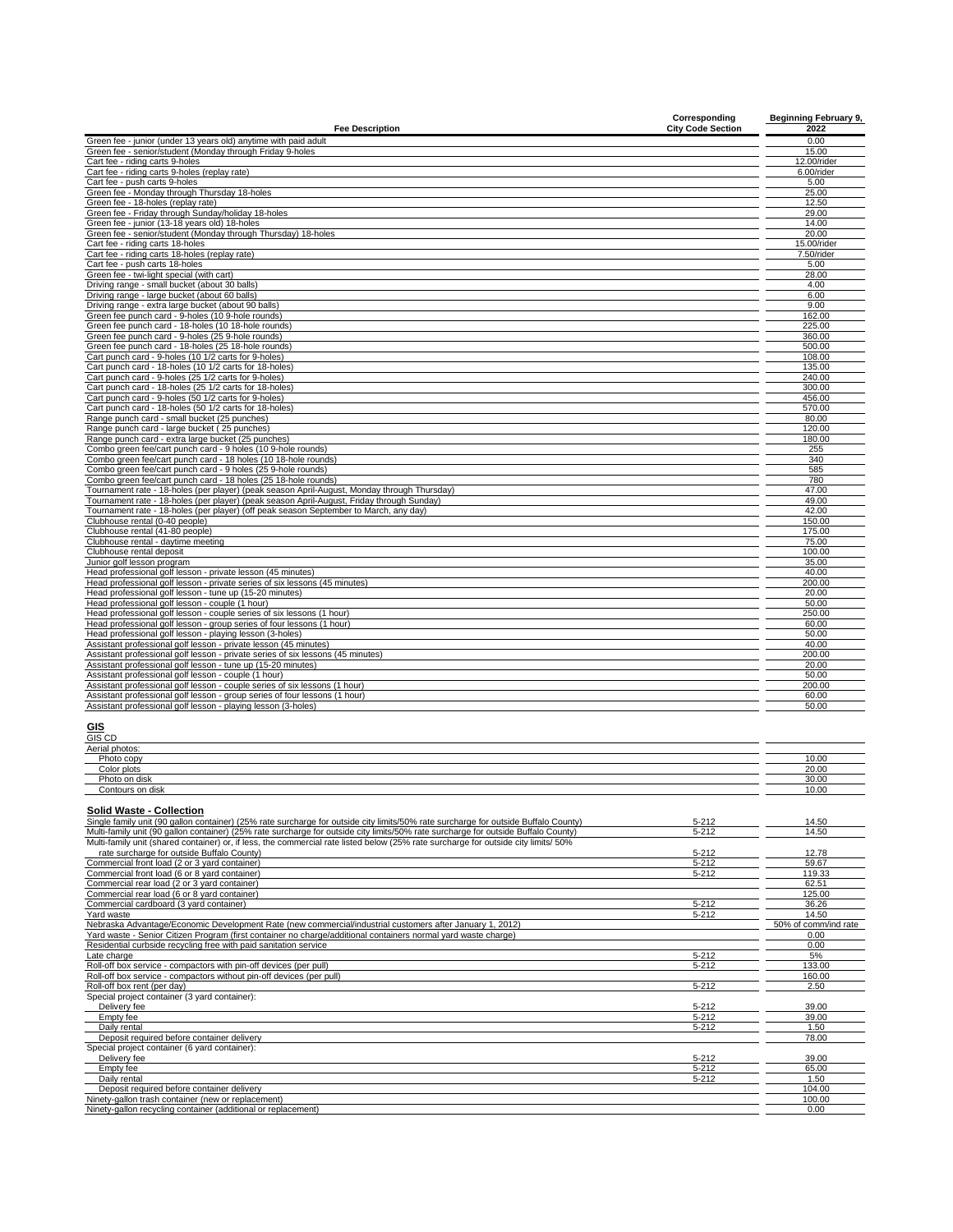| <b>Fee Description</b>                                                                                                                                                                                                                                                    | Corresponding<br><b>City Code Section</b> | <b>Beginning February 9,</b><br>2022 |
|---------------------------------------------------------------------------------------------------------------------------------------------------------------------------------------------------------------------------------------------------------------------------|-------------------------------------------|--------------------------------------|
| Green fee - junior (under 13 years old) anytime with paid adult                                                                                                                                                                                                           |                                           | 0.00                                 |
| Green fee - senior/student (Monday through Friday 9-holes                                                                                                                                                                                                                 |                                           | 15.00                                |
| Cart fee - riding carts 9-holes<br>Cart fee - riding carts 9-holes (replay rate)                                                                                                                                                                                          |                                           | 12.00/rider<br>6.00/rider            |
| Cart fee - push carts 9-holes                                                                                                                                                                                                                                             |                                           | 5.00                                 |
| Green fee - Monday through Thursday 18-holes                                                                                                                                                                                                                              |                                           | 25.00                                |
| Green fee - 18-holes (replay rate)<br>Green fee - Friday through Sunday/holiday 18-holes                                                                                                                                                                                  |                                           | 12.50<br>29.00                       |
| Green fee - junior (13-18 years old) 18-holes                                                                                                                                                                                                                             |                                           | 14.00                                |
| Green fee - senior/student (Monday through Thursday) 18-holes<br>Cart fee - riding carts 18-holes                                                                                                                                                                         |                                           | 20.00<br>15.00/rider                 |
| Cart fee - riding carts 18-holes (replay rate)                                                                                                                                                                                                                            |                                           | 7.50/rider                           |
| Cart fee - push carts 18-holes                                                                                                                                                                                                                                            |                                           | 5.00                                 |
| Green fee - twi-light special (with cart)<br>Driving range - small bucket (about 30 balls)                                                                                                                                                                                |                                           | 28.00<br>4.00                        |
| Driving range - large bucket (about 60 balls)                                                                                                                                                                                                                             |                                           | 6.00                                 |
| Driving range - extra large bucket (about 90 balls)                                                                                                                                                                                                                       |                                           | 9.00                                 |
| Green fee punch card - 9-holes (10 9-hole rounds)<br>Green fee punch card - 18-holes (10 18-hole rounds)                                                                                                                                                                  |                                           | 162.00<br>225.00                     |
| Green fee punch card - 9-holes (25 9-hole rounds)                                                                                                                                                                                                                         |                                           | 360.00                               |
| Green fee punch card - 18-holes (25 18-hole rounds)<br>Cart punch card - 9-holes (10 1/2 carts for 9-holes)                                                                                                                                                               |                                           | 500.00<br>108.00                     |
| Cart punch card - 18-holes (10 1/2 carts for 18-holes)                                                                                                                                                                                                                    |                                           | 135.00                               |
| Cart punch card - 9-holes (25 1/2 carts for 9-holes)                                                                                                                                                                                                                      |                                           | 240.00                               |
| Cart punch card - 18-holes (25 1/2 carts for 18-holes)<br>Cart punch card - 9-holes (50 1/2 carts for 9-holes)                                                                                                                                                            |                                           | 300.00<br>456.00                     |
| Cart punch card - 18-holes (50 1/2 carts for 18-holes)                                                                                                                                                                                                                    |                                           | 570.00                               |
| Range punch card - small bucket (25 punches)<br>Range punch card - large bucket (25 punches)                                                                                                                                                                              |                                           | 80.00<br>120.00                      |
| Range punch card - extra large bucket (25 punches)                                                                                                                                                                                                                        |                                           | 180.00                               |
| Combo green fee/cart punch card - 9 holes (10 9-hole rounds)                                                                                                                                                                                                              |                                           | 255                                  |
| Combo green fee/cart punch card - 18 holes (10 18-hole rounds)<br>Combo green fee/cart punch card - 9 holes (25 9-hole rounds)                                                                                                                                            |                                           | 340<br>585                           |
| Combo green fee/cart punch card - 18 holes (25 18-hole rounds)                                                                                                                                                                                                            |                                           | 780                                  |
| Tournament rate - 18-holes (per player) (peak season April-August, Monday through Thursday)                                                                                                                                                                               |                                           | 47.00                                |
| Tournament rate - 18-holes (per player) (peak season April-August, Friday through Sunday)<br>Tournament rate - 18-holes (per player) (off peak season September to March, any day)                                                                                        |                                           | 49.00<br>42.00                       |
| Clubhouse rental (0-40 people)                                                                                                                                                                                                                                            |                                           | 150.00                               |
| Clubhouse rental (41-80 people)<br>Clubhouse rental - daytime meeting                                                                                                                                                                                                     |                                           | 175.00<br>75.00                      |
| Clubhouse rental deposit                                                                                                                                                                                                                                                  |                                           | 100.00                               |
| Junior golf lesson program                                                                                                                                                                                                                                                |                                           | 35.00                                |
| Head professional golf lesson - private lesson (45 minutes)<br>Head professional golf lesson - private series of six lessons (45 minutes)                                                                                                                                 |                                           | 40.00<br>200.00                      |
| Head professional golf lesson - tune up (15-20 minutes)                                                                                                                                                                                                                   |                                           | 20.00                                |
| Head professional golf lesson - couple (1 hour)<br>Head professional golf lesson - couple series of six lessons (1 hour)                                                                                                                                                  |                                           | 50.00<br>250.00                      |
| Head professional golf lesson - group series of four lessons (1 hour)                                                                                                                                                                                                     |                                           | 60.00                                |
| Head professional golf lesson - playing lesson (3-holes)                                                                                                                                                                                                                  |                                           | 50.00                                |
| Assistant professional golf lesson - private lesson (45 minutes)<br>Assistant professional golf lesson - private series of six lessons (45 minutes)                                                                                                                       |                                           | 40.00<br>200.00                      |
| Assistant professional golf lesson - tune up (15-20 minutes)                                                                                                                                                                                                              |                                           | 20.00                                |
| Assistant professional golf lesson - couple (1 hour)<br>Assistant professional golf lesson - couple series of six lessons (1 hour)                                                                                                                                        |                                           | 50.00<br>200.00                      |
| Assistant professional golf lesson - group series of four lessons (1 hour)                                                                                                                                                                                                |                                           | 60.00                                |
| Assistant professional golf lesson - playing lesson (3-holes)                                                                                                                                                                                                             |                                           | 50.00                                |
| GIS<br>GIS CD                                                                                                                                                                                                                                                             |                                           |                                      |
| Aerial photos:<br>Photo copy                                                                                                                                                                                                                                              |                                           | 10.00                                |
| Color plots                                                                                                                                                                                                                                                               |                                           | 20.00                                |
| Photo on disk                                                                                                                                                                                                                                                             |                                           | 30.00                                |
| Contours on disk                                                                                                                                                                                                                                                          |                                           | 10.00                                |
| Solid Waste - Collection                                                                                                                                                                                                                                                  |                                           |                                      |
| Single family unit (90 gallon container) (25% rate surcharge for outside city limits/50% rate surcharge for outside Buffalo County)                                                                                                                                       | $5 - 212$                                 | 14.50                                |
| Multi-family unit (90 gallon container) (25% rate surcharge for outside city limits/50% rate surcharge for outside Buffalo County)<br>Multi-family unit (shared container) or, if less, the commercial rate listed below (25% rate surcharge for outside city limits/ 50% | $5 - 212$                                 | 14.50                                |
| rate surcharge for outside Buffalo County)                                                                                                                                                                                                                                | $5 - 212$                                 | 12.78                                |
| Commercial front load (2 or 3 vard container)<br>Commercial front load (6 or 8 yard container)                                                                                                                                                                            | $5 - 212$                                 | 59.67                                |
| Commercial rear load (2 or 3 yard container)                                                                                                                                                                                                                              | $5 - 212$                                 | 119.33<br>62.51                      |
| Commercial rear load (6 or 8 yard container)                                                                                                                                                                                                                              |                                           | 125.00                               |
| Commercial cardboard (3 yard container)<br>Yard waste                                                                                                                                                                                                                     | $5 - 212$<br>$5 - 212$                    | 36.26<br>14.50                       |
| Nebraska Advantage/Economic Development Rate (new commercial/industrial customers after January 1, 2012)                                                                                                                                                                  |                                           | 50% of comm/ind rate                 |
| Yard waste - Senior Citizen Program (first container no charge/additional containers normal yard waste charge)                                                                                                                                                            |                                           | 0.00                                 |
| Residential curbside recycling free with paid sanitation service<br>Late charge                                                                                                                                                                                           | $5 - 212$                                 | 0.00<br>5%                           |
| Roll-off box service - compactors with pin-off devices (per pull)                                                                                                                                                                                                         | $5 - 212$                                 | 133.00                               |
| Roll-off box service - compactors without pin-off devices (per pull)<br>Roll-off box rent (per day)                                                                                                                                                                       | 5-212                                     | 160.00<br>2.50                       |
| Special project container (3 yard container):                                                                                                                                                                                                                             |                                           |                                      |
| Delivery fee                                                                                                                                                                                                                                                              | $5 - 212$                                 | 39.00                                |
| Empty fee<br>Daily rental                                                                                                                                                                                                                                                 | $5 - 212$<br>$5 - 212$                    | 39.00<br>1.50                        |
| Deposit required before container delivery                                                                                                                                                                                                                                |                                           | 78.00                                |
| Special project container (6 vard container):                                                                                                                                                                                                                             |                                           |                                      |

Special project container (6 yard container):<br>
Delivery fee<br>
Empty fee 5-212 65.00<br>
Deposit required before container (new or replacement)<br>
Ninety-gallon trecycling container (new correlational or replacement)<br>
Ninety-gall

 $\overline{\phantom{0}}$  $\overline{\phantom{a}}$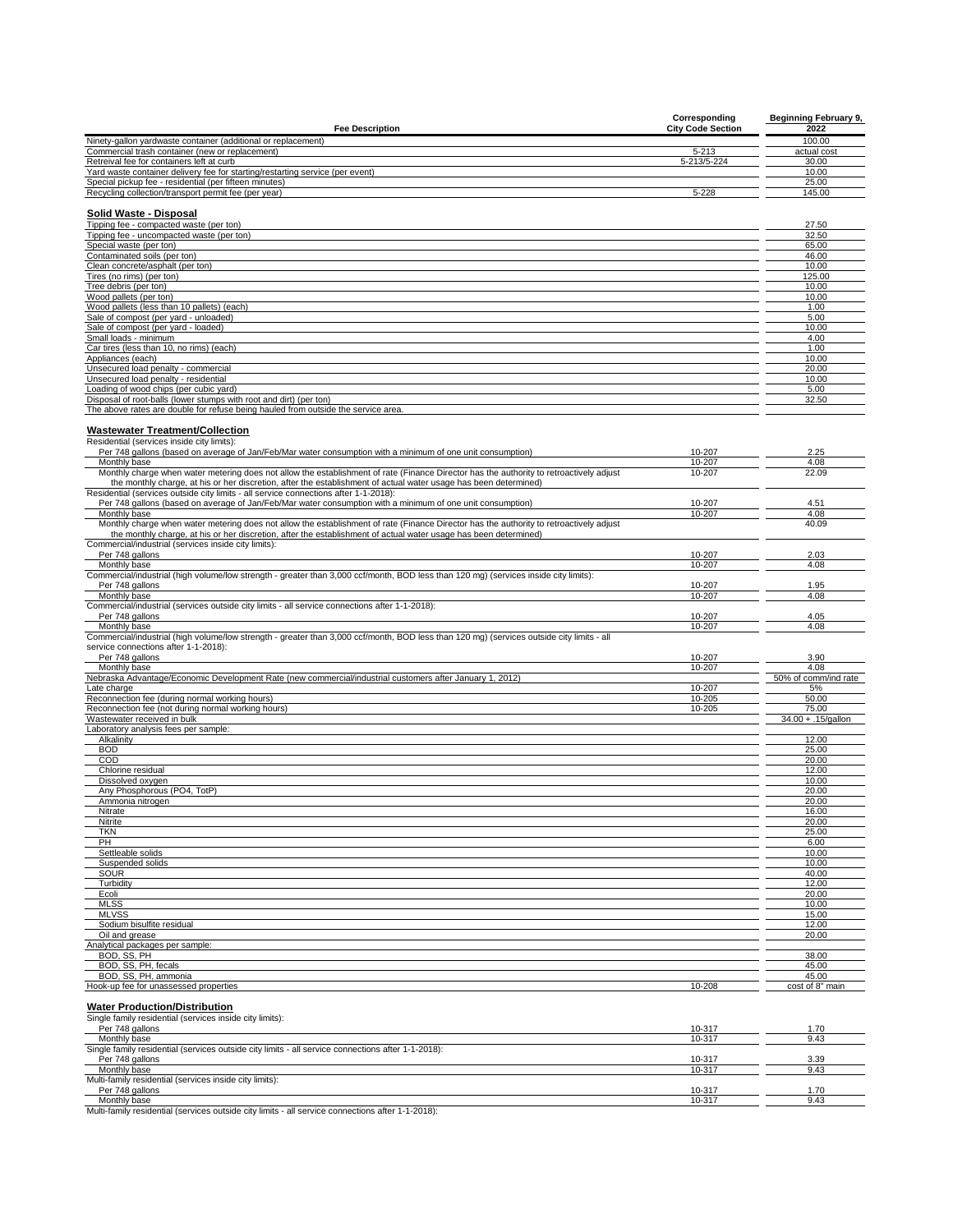|                                                                                                                                                                                                                                                             | Corresponding            | <b>Beginning February 9,</b> |
|-------------------------------------------------------------------------------------------------------------------------------------------------------------------------------------------------------------------------------------------------------------|--------------------------|------------------------------|
| <b>Fee Description</b>                                                                                                                                                                                                                                      | <b>City Code Section</b> | 2022                         |
| Ninety-gallon yardwaste container (additional or replacement)<br>Commercial trash container (new or replacement)                                                                                                                                            | 5-213                    | 100.00<br>actual cost        |
| Retreival fee for containers left at curb                                                                                                                                                                                                                   | 5-213/5-224              | 30.00                        |
| Yard waste container delivery fee for starting/restarting service (per event)                                                                                                                                                                               |                          | 10.00                        |
| Special pickup fee - residential (per fifteen minutes)                                                                                                                                                                                                      |                          | 25.00                        |
| Recycling collection/transport permit fee (per year)                                                                                                                                                                                                        | $5 - 228$                | 145.00                       |
|                                                                                                                                                                                                                                                             |                          |                              |
| <b>Solid Waste - Disposal</b><br>Tipping fee - compacted waste (per ton)                                                                                                                                                                                    |                          | 27.50                        |
| Tipping fee - uncompacted waste (per ton)                                                                                                                                                                                                                   |                          | 32.50                        |
| Special waste (per ton)                                                                                                                                                                                                                                     |                          | 65.00                        |
| Contaminated soils (per ton)                                                                                                                                                                                                                                |                          | 46.00                        |
| Clean concrete/asphalt (per ton)                                                                                                                                                                                                                            |                          | 10.00                        |
| Tires (no rims) (per ton)                                                                                                                                                                                                                                   |                          | 125.00                       |
| Tree debris (per ton)                                                                                                                                                                                                                                       |                          | 10.00                        |
| Wood pallets (per ton)                                                                                                                                                                                                                                      |                          | 10.00                        |
| Wood pallets (less than 10 pallets) (each)<br>Sale of compost (per yard - unloaded)                                                                                                                                                                         |                          | 1.00<br>5.00                 |
| Sale of compost (per yard - loaded)                                                                                                                                                                                                                         |                          | 10.00                        |
| Small loads - minimum                                                                                                                                                                                                                                       |                          | 4.00                         |
| Car tires (less than 10, no rims) (each)                                                                                                                                                                                                                    |                          | 1.00                         |
| Appliances (each)                                                                                                                                                                                                                                           |                          | 10.00                        |
| Unsecured load penalty - commercial                                                                                                                                                                                                                         |                          | 20.00                        |
| Unsecured load penalty - residential                                                                                                                                                                                                                        |                          | 10.00                        |
| Loading of wood chips (per cubic yard)                                                                                                                                                                                                                      |                          | 5.00                         |
| Disposal of root-balls (lower stumps with root and dirt) (per ton)<br>The above rates are double for refuse being hauled from outside the service area.                                                                                                     |                          | 32.50                        |
|                                                                                                                                                                                                                                                             |                          |                              |
| <b>Wastewater Treatment/Collection</b>                                                                                                                                                                                                                      |                          |                              |
| Residential (services inside city limits):                                                                                                                                                                                                                  |                          |                              |
| Per 748 gallons (based on average of Jan/Feb/Mar water consumption with a minimum of one unit consumption)                                                                                                                                                  | 10-207                   | 2.25                         |
| Monthly base                                                                                                                                                                                                                                                | 10-207                   | 4.08                         |
| Monthly charge when water metering does not allow the establishment of rate (Finance Director has the authority to retroactively adjust<br>the monthly charge, at his or her discretion, after the establishment of actual water usage has been determined) | 10-207                   | 22.09                        |
| Residential (services outside city limits - all service connections after 1-1-2018):                                                                                                                                                                        |                          |                              |
| Per 748 gallons (based on average of Jan/Feb/Mar water consumption with a minimum of one unit consumption)                                                                                                                                                  | 10-207                   | 4.51                         |
| Monthly base                                                                                                                                                                                                                                                | 10-207                   | 4.08                         |
| Monthly charge when water metering does not allow the establishment of rate (Finance Director has the authority to retroactively adjust                                                                                                                     |                          | 40.09                        |
| the monthly charge, at his or her discretion, after the establishment of actual water usage has been determined)                                                                                                                                            |                          |                              |
| Commercial/industrial (services inside city limits):                                                                                                                                                                                                        |                          |                              |
| Per 748 gallons                                                                                                                                                                                                                                             | 10-207                   | 2.03                         |
| Monthly base                                                                                                                                                                                                                                                | 10-207                   | 4.08                         |
| Commercial/industrial (high volume/low strength - greater than 3,000 ccf/month, BOD less than 120 mg) (services inside city limits):<br>Per 748 gallons                                                                                                     | 10-207                   | 1.95                         |
| Monthly base                                                                                                                                                                                                                                                | 10-207                   | 4.08                         |
| Commercial/industrial (services outside city limits - all service connections after 1-1-2018):                                                                                                                                                              |                          |                              |
| Per 748 gallons                                                                                                                                                                                                                                             | 10-207                   | 4.05                         |
| Monthly base                                                                                                                                                                                                                                                | 10-207                   | 4.08                         |
| Commercial/industrial (high volume/low strength - greater than 3,000 ccf/month, BOD less than 120 mg) (services outside city limits - all                                                                                                                   |                          |                              |
| service connections after 1-1-2018):                                                                                                                                                                                                                        |                          |                              |
| Per 748 gallons                                                                                                                                                                                                                                             | 10-207                   | 3.90                         |
| Monthly base                                                                                                                                                                                                                                                | 10-207                   | 4.08                         |
| Nebraska Advantage/Economic Development Rate (new commercial/industrial customers after January 1, 2012)                                                                                                                                                    |                          | 50% of comm/ind rate         |
| Late charge                                                                                                                                                                                                                                                 | 10-207                   | 5%<br>50.00                  |
| Reconnection fee (during normal working hours)                                                                                                                                                                                                              | 10-205                   |                              |
|                                                                                                                                                                                                                                                             |                          |                              |
| Reconnection fee (not during normal working hours)                                                                                                                                                                                                          | 10-205                   | 75.00                        |
| Wastewater received in bulk                                                                                                                                                                                                                                 |                          | $34.00 + .15/gallon$         |
| Laboratory analysis fees per sample:<br>Alkalinity                                                                                                                                                                                                          |                          | 12.00                        |
| <b>BOD</b>                                                                                                                                                                                                                                                  |                          | 25.00                        |
| COD                                                                                                                                                                                                                                                         |                          | 20.00                        |
| Chlorine residual                                                                                                                                                                                                                                           |                          | 12.00                        |
| Dissolved oxygen                                                                                                                                                                                                                                            |                          | 10.00                        |
| Any Phosphorous (PO4, TotP)                                                                                                                                                                                                                                 |                          | 20.00                        |
| Ammonia nitrogen                                                                                                                                                                                                                                            |                          | 20.00                        |
| Nitrate                                                                                                                                                                                                                                                     |                          | 16.00                        |
| <b>Nitrite</b><br><b>TKN</b>                                                                                                                                                                                                                                |                          | 20.00                        |
| PH                                                                                                                                                                                                                                                          |                          | 25.00<br>6.00                |
| Settleable solids                                                                                                                                                                                                                                           |                          | 10.00                        |
| Suspended solids                                                                                                                                                                                                                                            |                          | 10.00                        |
| <b>SOUR</b>                                                                                                                                                                                                                                                 |                          | 40.00                        |
| Turbidity                                                                                                                                                                                                                                                   |                          | 12.00                        |
| Ecoli                                                                                                                                                                                                                                                       |                          | 20.00                        |
| <b>MLSS</b>                                                                                                                                                                                                                                                 |                          | 10.00                        |
| <b>MLVSS</b>                                                                                                                                                                                                                                                |                          | 15.00                        |
| Sodium bisulfite residual                                                                                                                                                                                                                                   |                          | 12.00                        |
| Oil and grease                                                                                                                                                                                                                                              |                          | 20.00                        |
| Analytical packages per sample:<br>BOD, SS, PH                                                                                                                                                                                                              |                          | 38.00                        |
|                                                                                                                                                                                                                                                             |                          | 45.00                        |
| BOD, SS, PH, fecals<br>BOD, SS, PH, ammonia                                                                                                                                                                                                                 |                          | 45.00                        |
| Hook-up fee for unassessed properties                                                                                                                                                                                                                       | 10-208                   | cost of 8" main              |

| Per 748 gallons                                                                                    | 10-317 | 1.70 |
|----------------------------------------------------------------------------------------------------|--------|------|
| Monthly base                                                                                       | 10-317 | 9.43 |
| Single family residential (services outside city limits - all service connections after 1-1-2018): |        |      |
| Per 748 gallons                                                                                    | 10-317 | 3.39 |
| Monthly base                                                                                       | 10-317 | 9.43 |
| Multi-family residential (services inside city limits):                                            |        |      |
| Per 748 gallons                                                                                    | 10-317 | 1.70 |
| Monthly base                                                                                       | 10-317 | 9.43 |
| Multi family regidential (conviges outside oity limits) all pervise connections ofter 1, 1, 2018). |        |      |

Multi-family residential (services outside city limits - all service connections after 1-1-2018):